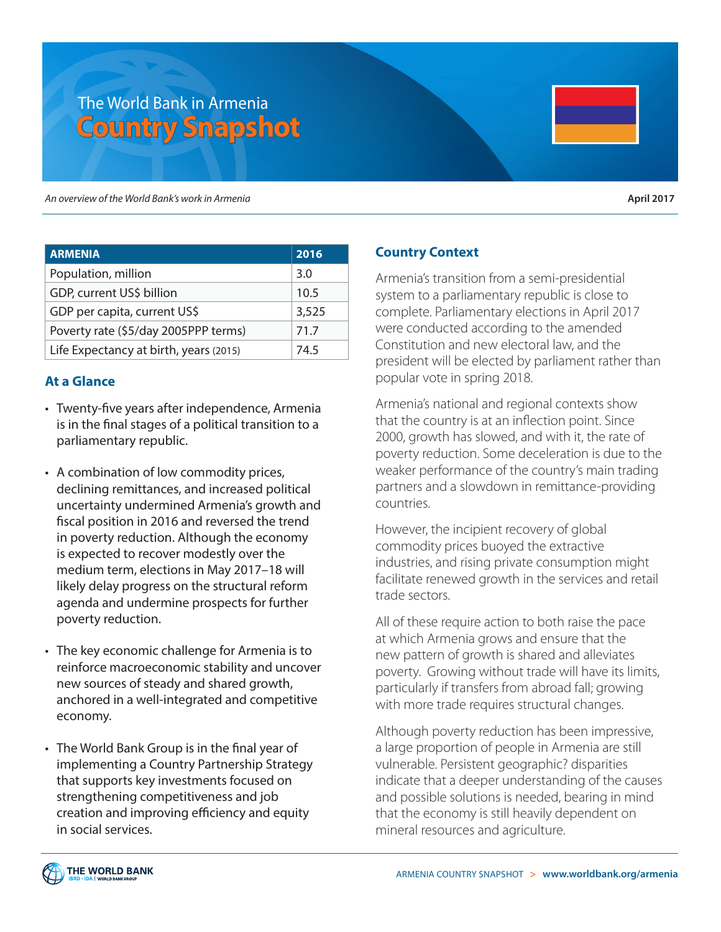# The World Bank in Armenia **Country Snapshot**

An overview of the World Bank's work in Armenia

| <b>April 2017</b> |  |
|-------------------|--|
|-------------------|--|

| <b>ARMENIA</b>                         | 2016  |
|----------------------------------------|-------|
| Population, million                    | 3.0   |
| GDP, current US\$ billion              | 10.5  |
| GDP per capita, current US\$           | 3,525 |
| Poverty rate (\$5/day 2005PPP terms)   | 71.7  |
| Life Expectancy at birth, years (2015) | 74.5  |

## **At a Glance**

- Twenty-five years after independence, Armenia is in the final stages of a political transition to a parliamentary republic.
- A combination of low commodity prices, declining remittances, and increased political uncertainty undermined Armenia's growth and fiscal position in 2016 and reversed the trend in poverty reduction. Although the economy is expected to recover modestly over the medium term, elections in May 2017–18 will likely delay progress on the structural reform agenda and undermine prospects for further poverty reduction.
- The key economic challenge for Armenia is to reinforce macroeconomic stability and uncover new sources of steady and shared growth, anchored in a well-integrated and competitive economy.
- The World Bank Group is in the final year of implementing a Country Partnership Strategy that supports key investments focused on strengthening competitiveness and job creation and improving efficiency and equity in social services.

## **Country Context**

Armenia's transition from a semi-presidential system to a parliamentary republic is close to complete. Parliamentary elections in April 2017 were conducted according to the amended Constitution and new electoral law, and the president will be elected by parliament rather than popular vote in spring 2018.

Armenia's national and regional contexts show that the country is at an inflection point. Since 2000, growth has slowed, and with it, the rate of poverty reduction. Some deceleration is due to the weaker performance of the country's main trading partners and a slowdown in remittance-providing countries.

However, the incipient recovery of global commodity prices buoyed the extractive industries, and rising private consumption might facilitate renewed growth in the services and retail trade sectors.

All of these require action to both raise the pace at which Armenia grows and ensure that the new pattern of growth is shared and alleviates poverty. Growing without trade will have its limits, particularly if transfers from abroad fall; growing with more trade requires structural changes.

Although poverty reduction has been impressive, a large proportion of people in Armenia are still vulnerable. Persistent geographic? disparities indicate that a deeper understanding of the causes and possible solutions is needed, bearing in mind that the economy is still heavily dependent on mineral resources and agriculture.

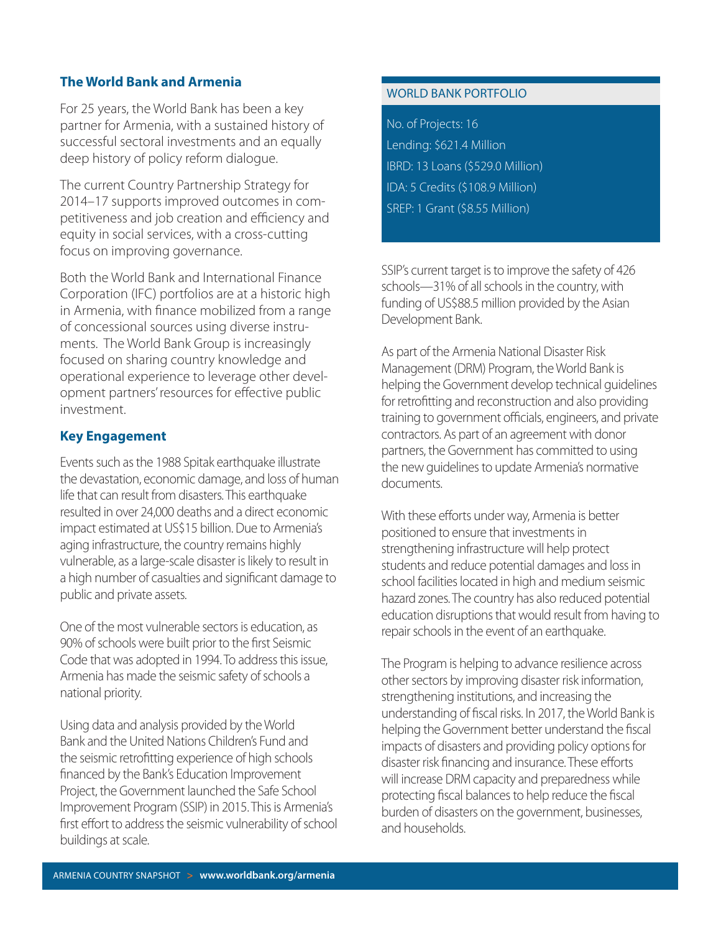## **The World Bank and Armenia**

For 25 years, the World Bank has been a key partner for Armenia, with a sustained history of successful sectoral investments and an equally deep history of policy reform dialogue.

The current Country Partnership Strategy for 2014–17 supports improved outcomes in competitiveness and job creation and efficiency and equity in social services, with a cross-cutting focus on improving governance.

Both the World Bank and International Finance Corporation (IFC) portfolios are at a historic high in Armenia, with finance mobilized from a range of concessional sources using diverse instruments. The World Bank Group is increasingly focused on sharing country knowledge and operational experience to leverage other development partners' resources for effective public investment.

## **Key Engagement**

Events such as the 1988 Spitak earthquake illustrate the devastation, economic damage, and loss of human life that can result from disasters. This earthquake resulted in over 24,000 deaths and a direct economic impact estimated at US\$15 billion. Due to Armenia's aging infrastructure, the country remains highly vulnerable, as a large-scale disaster is likely to result in a high number of casualties and significant damage to public and private assets.

One of the most vulnerable sectors is education, as 90% of schools were built prior to the first Seismic Code that was adopted in 1994. To address this issue, Armenia has made the seismic safety of schools a national priority.

Using data and analysis provided by the World Bank and the United Nations Children's Fund and the seismic retrofitting experience of high schools financed by the Bank's Education Improvement Project, the Government launched the Safe School Improvement Program (SSIP) in 2015. This is Armenia's first effort to address the seismic vulnerability of school buildings at scale.

### WORLD BANK PORTFOLIO

No. of Projects: 16 Lending: \$621.4 Million IBRD: 13 Loans (\$529.0 Million) IDA: 5 Credits (\$108.9 Million) SREP: 1 Grant (\$8.55 Million)

SSIP's current target is to improve the safety of 426 schools—31% of all schools in the country, with funding of US\$88.5 million provided by the Asian Development Bank.

As part of the Armenia National Disaster Risk Management (DRM) Program, the World Bank is helping the Government develop technical guidelines for retrofitting and reconstruction and also providing training to government officials, engineers, and private contractors. As part of an agreement with donor partners, the Government has committed to using the new guidelines to update Armenia's normative documents.

With these efforts under way, Armenia is better positioned to ensure that investments in strengthening infrastructure will help protect students and reduce potential damages and loss in school facilities located in high and medium seismic hazard zones. The country has also reduced potential education disruptions that would result from having to repair schools in the event of an earthquake.

The Program is helping to advance resilience across other sectors by improving disaster risk information, strengthening institutions, and increasing the understanding of fiscal risks. In 2017, the World Bank is helping the Government better understand the fiscal impacts of disasters and providing policy options for disaster risk financing and insurance. These efforts will increase DRM capacity and preparedness while protecting fiscal balances to help reduce the fiscal burden of disasters on the government, businesses, and households.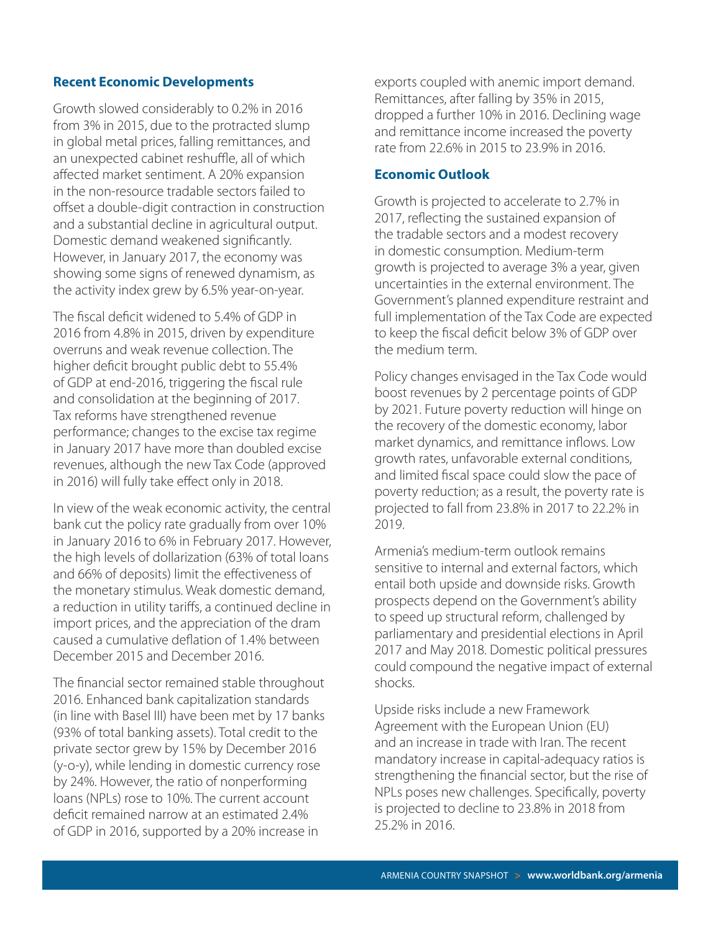#### **Recent Economic Developments**

Growth slowed considerably to 0.2% in 2016 from 3% in 2015, due to the protracted slump in global metal prices, falling remittances, and an unexpected cabinet reshuffle, all of which affected market sentiment. A 20% expansion in the non-resource tradable sectors failed to offset a double-digit contraction in construction and a substantial decline in agricultural output. Domestic demand weakened significantly. However, in January 2017, the economy was showing some signs of renewed dynamism, as the activity index grew by 6.5% year-on-year.

The fiscal deficit widened to 5.4% of GDP in 2016 from 4.8% in 2015, driven by expenditure overruns and weak revenue collection. The higher deficit brought public debt to 55.4% of GDP at end-2016, triggering the fiscal rule and consolidation at the beginning of 2017. Tax reforms have strengthened revenue performance; changes to the excise tax regime in January 2017 have more than doubled excise revenues, although the new Tax Code (approved in 2016) will fully take effect only in 2018.

In view of the weak economic activity, the central bank cut the policy rate gradually from over 10% in January 2016 to 6% in February 2017. However, the high levels of dollarization (63% of total loans and 66% of deposits) limit the effectiveness of the monetary stimulus. Weak domestic demand, a reduction in utility tariffs, a continued decline in import prices, and the appreciation of the dram caused a cumulative deflation of 1.4% between December 2015 and December 2016.

The financial sector remained stable throughout 2016. Enhanced bank capitalization standards (in line with Basel III) have been met by 17 banks (93% of total banking assets). Total credit to the private sector grew by 15% by December 2016 (y-o-y), while lending in domestic currency rose by 24%. However, the ratio of nonperforming loans (NPLs) rose to 10%. The current account deficit remained narrow at an estimated 2.4% of GDP in 2016, supported by a 20% increase in

exports coupled with anemic import demand. Remittances, after falling by 35% in 2015, dropped a further 10% in 2016. Declining wage and remittance income increased the poverty rate from 22.6% in 2015 to 23.9% in 2016.

#### **Economic Outlook**

Growth is projected to accelerate to 2.7% in 2017, reflecting the sustained expansion of the tradable sectors and a modest recovery in domestic consumption. Medium-term growth is projected to average 3% a year, given uncertainties in the external environment. The Government's planned expenditure restraint and full implementation of the Tax Code are expected to keep the fiscal deficit below 3% of GDP over the medium term.

Policy changes envisaged in the Tax Code would boost revenues by 2 percentage points of GDP by 2021. Future poverty reduction will hinge on the recovery of the domestic economy, labor market dynamics, and remittance inflows. Low growth rates, unfavorable external conditions, and limited fiscal space could slow the pace of poverty reduction; as a result, the poverty rate is projected to fall from 23.8% in 2017 to 22.2% in 2019.

Armenia's medium-term outlook remains sensitive to internal and external factors, which entail both upside and downside risks. Growth prospects depend on the Government's ability to speed up structural reform, challenged by parliamentary and presidential elections in April 2017 and May 2018. Domestic political pressures could compound the negative impact of external shocks.

Upside risks include a new Framework Agreement with the European Union (EU) and an increase in trade with Iran. The recent mandatory increase in capital-adequacy ratios is strengthening the financial sector, but the rise of NPLs poses new challenges. Specifically, poverty is projected to decline to 23.8% in 2018 from 25.2% in 2016.